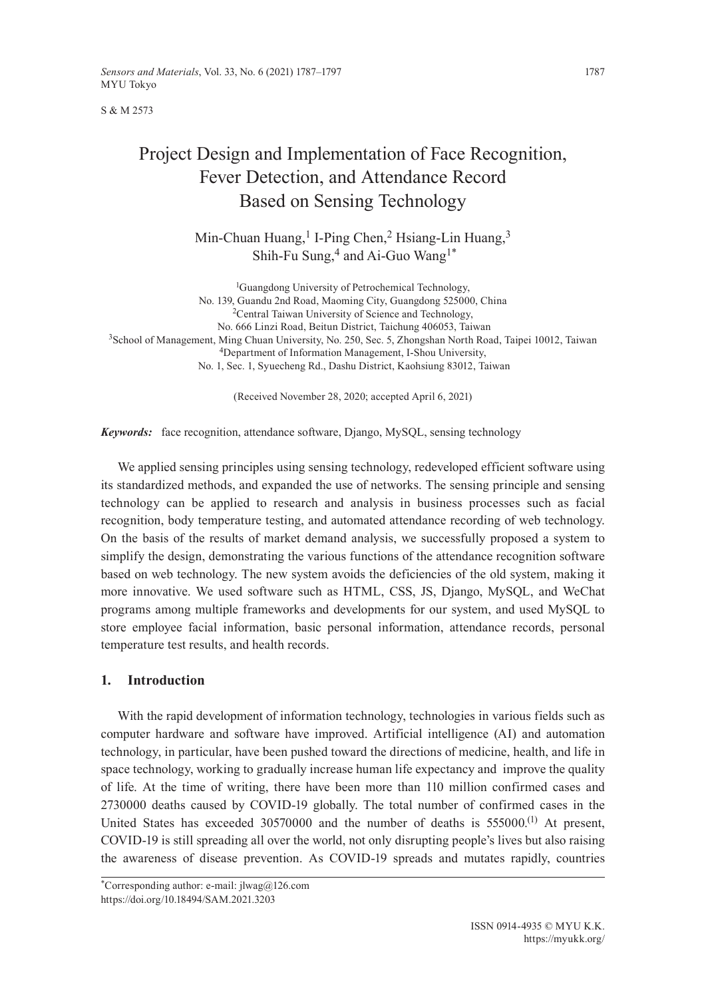S & M 2573

# Project Design and Implementation of Face Recognition, Fever Detection, and Attendance Record Based on Sensing Technology

Min-Chuan Huang,<sup>1</sup> I-Ping Chen,<sup>2</sup> Hsiang-Lin Huang,<sup>3</sup> Shih-Fu Sung,<sup>4</sup> and Ai-Guo Wang<sup>1\*</sup>

<sup>1</sup>Guangdong University of Petrochemical Technology, No. 139, Guandu 2nd Road, Maoming City, Guangdong 525000, China <sup>2</sup>Central Taiwan University of Science and Technology, No. 666 Linzi Road, Beitun District, Taichung 406053, Taiwan 3School of Management, Ming Chuan University, No. 250, Sec. 5, Zhongshan North Road, Taipei 10012, Taiwan 4Department of Information Management, I-Shou University, No. 1, Sec. 1, Syuecheng Rd., Dashu District, Kaohsiung 83012, Taiwan

(Received November 28, 2020; accepted April 6, 2021)

*Keywords:* face recognition, attendance software, Django, MySQL, sensing technology

We applied sensing principles using sensing technology, redeveloped efficient software using its standardized methods, and expanded the use of networks. The sensing principle and sensing technology can be applied to research and analysis in business processes such as facial recognition, body temperature testing, and automated attendance recording of web technology. On the basis of the results of market demand analysis, we successfully proposed a system to simplify the design, demonstrating the various functions of the attendance recognition software based on web technology. The new system avoids the deficiencies of the old system, making it more innovative. We used software such as HTML, CSS, JS, Django, MySQL, and WeChat programs among multiple frameworks and developments for our system, and used MySQL to store employee facial information, basic personal information, attendance records, personal temperature test results, and health records.

# **1. Introduction**

With the rapid development of information technology, technologies in various fields such as computer hardware and software have improved. Artificial intelligence (AI) and automation technology, in particular, have been pushed toward the directions of medicine, health, and life in space technology, working to gradually increase human life expectancy and improve the quality of life. At the time of writing, there have been more than 110 million confirmed cases and 2730000 deaths caused by COVID-19 globally. The total number of confirmed cases in the United States has exceeded 30570000 and the number of deaths is 555000.<sup>(1)</sup> At present, COVID-19 is still spreading all over the world, not only disrupting people's lives but also raising the awareness of disease prevention. As COVID-19 spreads and mutates rapidly, countries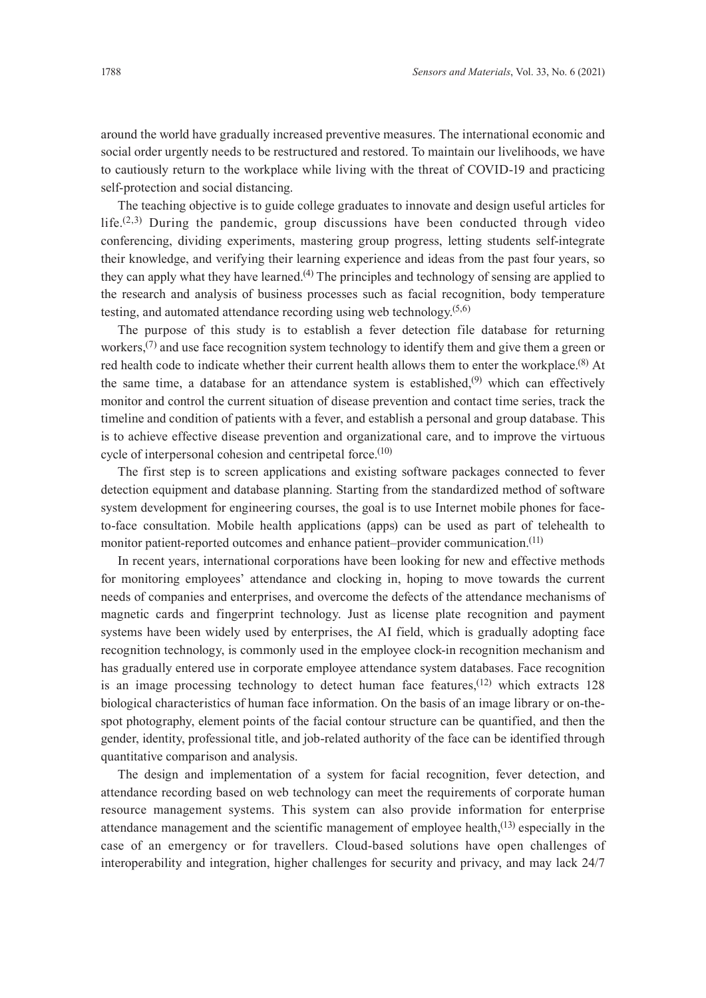around the world have gradually increased preventive measures. The international economic and social order urgently needs to be restructured and restored. To maintain our livelihoods, we have to cautiously return to the workplace while living with the threat of COVID-19 and practicing self-protection and social distancing.

The teaching objective is to guide college graduates to innovate and design useful articles for life.<sup> $(2,3)$ </sup> During the pandemic, group discussions have been conducted through video conferencing, dividing experiments, mastering group progress, letting students self-integrate their knowledge, and verifying their learning experience and ideas from the past four years, so they can apply what they have learned.<sup>(4)</sup> The principles and technology of sensing are applied to the research and analysis of business processes such as facial recognition, body temperature testing, and automated attendance recording using web technology. $(5,6)$ 

The purpose of this study is to establish a fever detection file database for returning workers,<sup> $(7)$ </sup> and use face recognition system technology to identify them and give them a green or red health code to indicate whether their current health allows them to enter the workplace.<sup>(8)</sup> At the same time, a database for an attendance system is established, $(9)$  which can effectively monitor and control the current situation of disease prevention and contact time series, track the timeline and condition of patients with a fever, and establish a personal and group database. This is to achieve effective disease prevention and organizational care, and to improve the virtuous cycle of interpersonal cohesion and centripetal force.<sup>(10)</sup>

The first step is to screen applications and existing software packages connected to fever detection equipment and database planning. Starting from the standardized method of software system development for engineering courses, the goal is to use Internet mobile phones for faceto-face consultation. Mobile health applications (apps) can be used as part of telehealth to monitor patient-reported outcomes and enhance patient–provider communication.<sup>(11)</sup>

In recent years, international corporations have been looking for new and effective methods for monitoring employees' attendance and clocking in, hoping to move towards the current needs of companies and enterprises, and overcome the defects of the attendance mechanisms of magnetic cards and fingerprint technology. Just as license plate recognition and payment systems have been widely used by enterprises, the AI field, which is gradually adopting face recognition technology, is commonly used in the employee clock-in recognition mechanism and has gradually entered use in corporate employee attendance system databases. Face recognition is an image processing technology to detect human face features,  $(12)$  which extracts 128 biological characteristics of human face information. On the basis of an image library or on-thespot photography, element points of the facial contour structure can be quantified, and then the gender, identity, professional title, and job-related authority of the face can be identified through quantitative comparison and analysis.

The design and implementation of a system for facial recognition, fever detection, and attendance recording based on web technology can meet the requirements of corporate human resource management systems. This system can also provide information for enterprise attendance management and the scientific management of employee health, $(13)$  especially in the case of an emergency or for travellers. Cloud-based solutions have open challenges of interoperability and integration, higher challenges for security and privacy, and may lack 24/7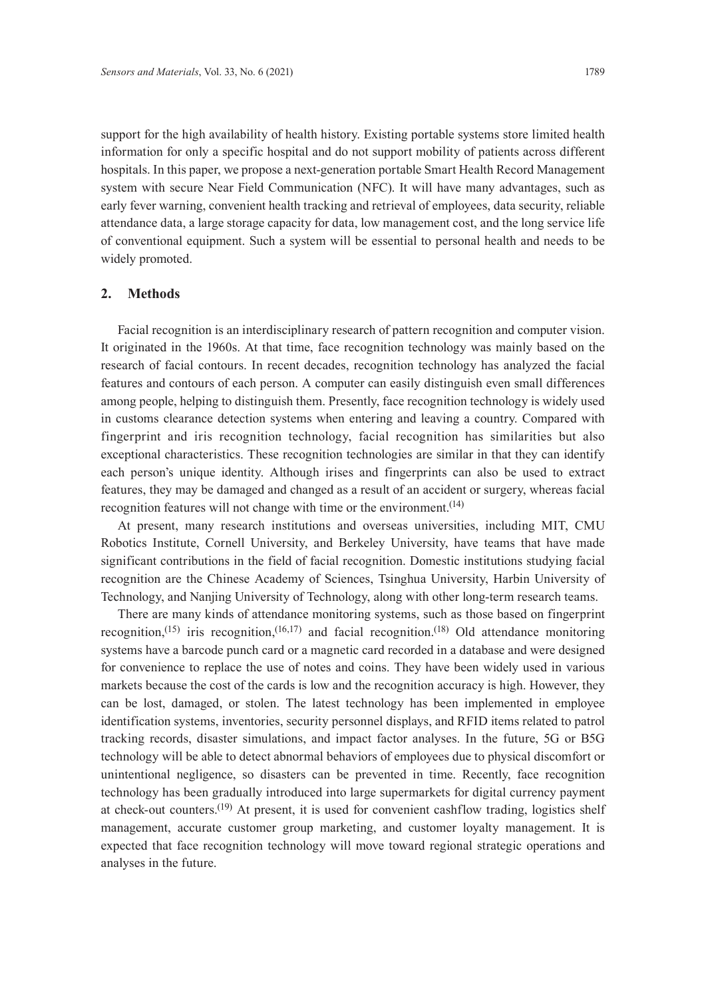support for the high availability of health history. Existing portable systems store limited health information for only a specific hospital and do not support mobility of patients across different hospitals. In this paper, we propose a next-generation portable Smart Health Record Management system with secure Near Field Communication (NFC). It will have many advantages, such as early fever warning, convenient health tracking and retrieval of employees, data security, reliable attendance data, a large storage capacity for data, low management cost, and the long service life of conventional equipment. Such a system will be essential to personal health and needs to be widely promoted.

# **2. Methods**

Facial recognition is an interdisciplinary research of pattern recognition and computer vision. It originated in the 1960s. At that time, face recognition technology was mainly based on the research of facial contours. In recent decades, recognition technology has analyzed the facial features and contours of each person. A computer can easily distinguish even small differences among people, helping to distinguish them. Presently, face recognition technology is widely used in customs clearance detection systems when entering and leaving a country. Compared with fingerprint and iris recognition technology, facial recognition has similarities but also exceptional characteristics. These recognition technologies are similar in that they can identify each person's unique identity. Although irises and fingerprints can also be used to extract features, they may be damaged and changed as a result of an accident or surgery, whereas facial recognition features will not change with time or the environment.<sup>(14)</sup>

At present, many research institutions and overseas universities, including MIT, CMU Robotics Institute, Cornell University, and Berkeley University, have teams that have made significant contributions in the field of facial recognition. Domestic institutions studying facial recognition are the Chinese Academy of Sciences, Tsinghua University, Harbin University of Technology, and Nanjing University of Technology, along with other long-term research teams.

There are many kinds of attendance monitoring systems, such as those based on fingerprint recognition,<sup>(15)</sup> iris recognition,<sup>(16,17)</sup> and facial recognition.<sup>(18)</sup> Old attendance monitoring systems have a barcode punch card or a magnetic card recorded in a database and were designed for convenience to replace the use of notes and coins. They have been widely used in various markets because the cost of the cards is low and the recognition accuracy is high. However, they can be lost, damaged, or stolen. The latest technology has been implemented in employee identification systems, inventories, security personnel displays, and RFID items related to patrol tracking records, disaster simulations, and impact factor analyses. In the future, 5G or B5G technology will be able to detect abnormal behaviors of employees due to physical discomfort or unintentional negligence, so disasters can be prevented in time. Recently, face recognition technology has been gradually introduced into large supermarkets for digital currency payment at check-out counters.(19) At present, it is used for convenient cashflow trading, logistics shelf management, accurate customer group marketing, and customer loyalty management. It is expected that face recognition technology will move toward regional strategic operations and analyses in the future.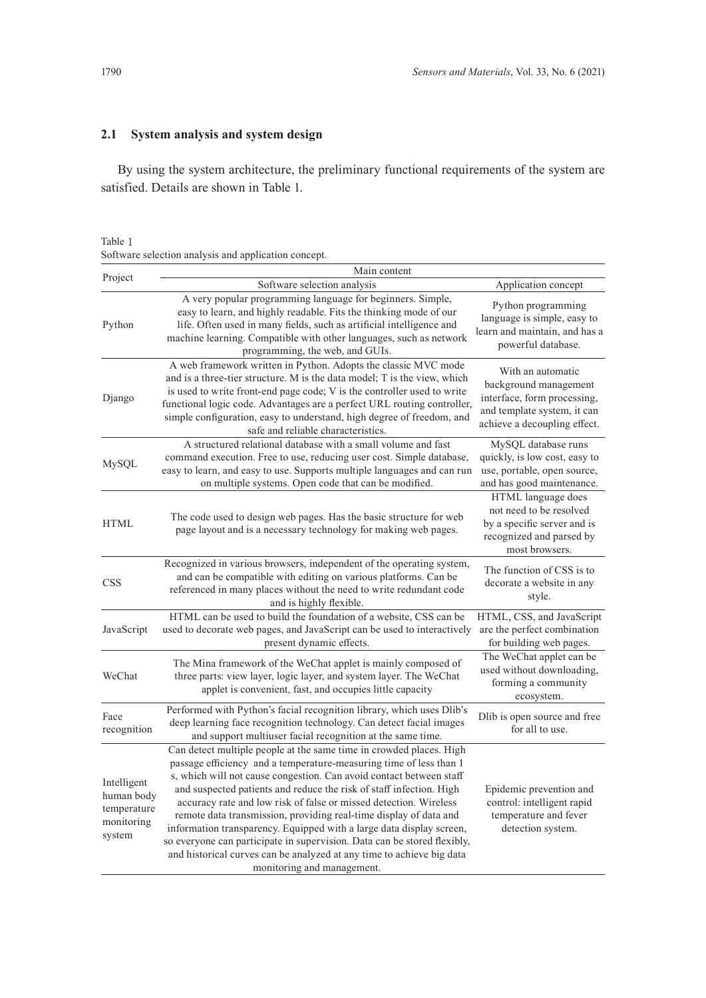# **2.1 System analysis and system design**

By using the system architecture, the preliminary functional requirements of the system are satisfied. Details are shown in Table 1.

# Table 1

Software selection analysis and application concept.

| Project                                                          | Main content                                                                                                                                                                                                                                                                                                                                                                                                                                                                                                                                                                                                                                                                                 |                                                                                                                                          |  |  |  |
|------------------------------------------------------------------|----------------------------------------------------------------------------------------------------------------------------------------------------------------------------------------------------------------------------------------------------------------------------------------------------------------------------------------------------------------------------------------------------------------------------------------------------------------------------------------------------------------------------------------------------------------------------------------------------------------------------------------------------------------------------------------------|------------------------------------------------------------------------------------------------------------------------------------------|--|--|--|
|                                                                  | Software selection analysis                                                                                                                                                                                                                                                                                                                                                                                                                                                                                                                                                                                                                                                                  | Application concept                                                                                                                      |  |  |  |
| Python                                                           | A very popular programming language for beginners. Simple,<br>easy to learn, and highly readable. Fits the thinking mode of our<br>life. Often used in many fields, such as artificial intelligence and<br>machine learning. Compatible with other languages, such as network<br>programming, the web, and GUIs.                                                                                                                                                                                                                                                                                                                                                                             | Python programming<br>language is simple, easy to<br>learn and maintain, and has a<br>powerful database.                                 |  |  |  |
| Django                                                           | A web framework written in Python. Adopts the classic MVC mode<br>and is a three-tier structure. M is the data model; T is the view, which<br>is used to write front-end page code; V is the controller used to write<br>functional logic code. Advantages are a perfect URL routing controller,<br>simple configuration, easy to understand, high degree of freedom, and<br>safe and reliable characteristics.                                                                                                                                                                                                                                                                              | With an automatic<br>background management<br>interface, form processing,<br>and template system, it can<br>achieve a decoupling effect. |  |  |  |
| MySQL                                                            | A structured relational database with a small volume and fast<br>command execution. Free to use, reducing user cost. Simple database,<br>easy to learn, and easy to use. Supports multiple languages and can run<br>on multiple systems. Open code that can be modified.                                                                                                                                                                                                                                                                                                                                                                                                                     | MySQL database runs<br>quickly, is low cost, easy to<br>use, portable, open source,<br>and has good maintenance.                         |  |  |  |
| <b>HTML</b>                                                      | The code used to design web pages. Has the basic structure for web<br>page layout and is a necessary technology for making web pages.                                                                                                                                                                                                                                                                                                                                                                                                                                                                                                                                                        | HTML language does<br>not need to be resolved<br>by a specific server and is<br>recognized and parsed by<br>most browsers.               |  |  |  |
| <b>CSS</b>                                                       | Recognized in various browsers, independent of the operating system,<br>and can be compatible with editing on various platforms. Can be<br>referenced in many places without the need to write redundant code<br>and is highly flexible.                                                                                                                                                                                                                                                                                                                                                                                                                                                     | The function of CSS is to<br>decorate a website in any<br>style.                                                                         |  |  |  |
| JavaScript                                                       | HTML can be used to build the foundation of a website, CSS can be<br>used to decorate web pages, and JavaScript can be used to interactively<br>present dynamic effects.                                                                                                                                                                                                                                                                                                                                                                                                                                                                                                                     | HTML, CSS, and JavaScript<br>are the perfect combination<br>for building web pages.                                                      |  |  |  |
| WeChat                                                           | The Mina framework of the WeChat applet is mainly composed of<br>three parts: view layer, logic layer, and system layer. The WeChat<br>applet is convenient, fast, and occupies little capacity                                                                                                                                                                                                                                                                                                                                                                                                                                                                                              | The WeChat applet can be<br>used without downloading,<br>forming a community<br>ecosystem.                                               |  |  |  |
| Face<br>recognition                                              | Performed with Python's facial recognition library, which uses Dlib's<br>deep learning face recognition technology. Can detect facial images<br>and support multiuser facial recognition at the same time.                                                                                                                                                                                                                                                                                                                                                                                                                                                                                   | Dlib is open source and free<br>for all to use.                                                                                          |  |  |  |
| Intelligent<br>human body<br>temperature<br>monitoring<br>system | Can detect multiple people at the same time in crowded places. High<br>passage efficiency and a temperature-measuring time of less than 1<br>s, which will not cause congestion. Can avoid contact between staff<br>and suspected patients and reduce the risk of staff infection. High<br>accuracy rate and low risk of false or missed detection. Wireless<br>remote data transmission, providing real-time display of data and<br>information transparency. Equipped with a large data display screen,<br>so everyone can participate in supervision. Data can be stored flexibly,<br>and historical curves can be analyzed at any time to achieve big data<br>monitoring and management. | Epidemic prevention and<br>control: intelligent rapid<br>temperature and fever<br>detection system.                                      |  |  |  |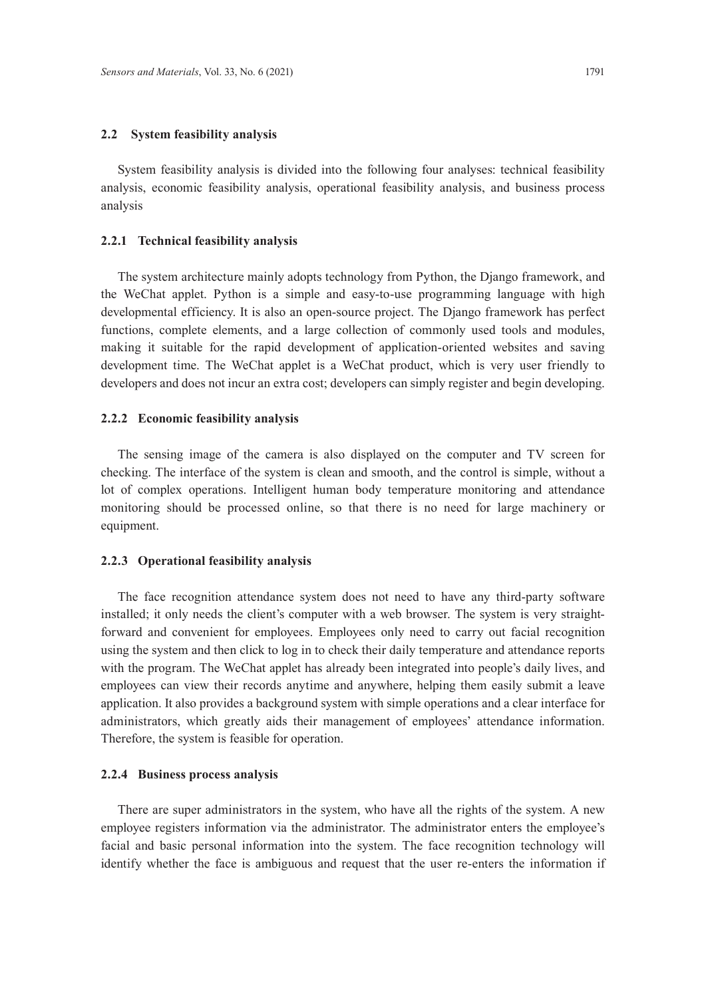#### **2.2 System feasibility analysis**

System feasibility analysis is divided into the following four analyses: technical feasibility analysis, economic feasibility analysis, operational feasibility analysis, and business process analysis

#### **2.2.1 Technical feasibility analysis**

The system architecture mainly adopts technology from Python, the Django framework, and the WeChat applet. Python is a simple and easy-to-use programming language with high developmental efficiency. It is also an open-source project. The Django framework has perfect functions, complete elements, and a large collection of commonly used tools and modules, making it suitable for the rapid development of application-oriented websites and saving development time. The WeChat applet is a WeChat product, which is very user friendly to developers and does not incur an extra cost; developers can simply register and begin developing.

#### **2.2.2 Economic feasibility analysis**

The sensing image of the camera is also displayed on the computer and TV screen for checking. The interface of the system is clean and smooth, and the control is simple, without a lot of complex operations. Intelligent human body temperature monitoring and attendance monitoring should be processed online, so that there is no need for large machinery or equipment.

#### **2.2.3 Operational feasibility analysis**

The face recognition attendance system does not need to have any third-party software installed; it only needs the client's computer with a web browser. The system is very straightforward and convenient for employees. Employees only need to carry out facial recognition using the system and then click to log in to check their daily temperature and attendance reports with the program. The WeChat applet has already been integrated into people's daily lives, and employees can view their records anytime and anywhere, helping them easily submit a leave application. It also provides a background system with simple operations and a clear interface for administrators, which greatly aids their management of employees' attendance information. Therefore, the system is feasible for operation.

#### **2.2.4 Business process analysis**

There are super administrators in the system, who have all the rights of the system. A new employee registers information via the administrator. The administrator enters the employee's facial and basic personal information into the system. The face recognition technology will identify whether the face is ambiguous and request that the user re-enters the information if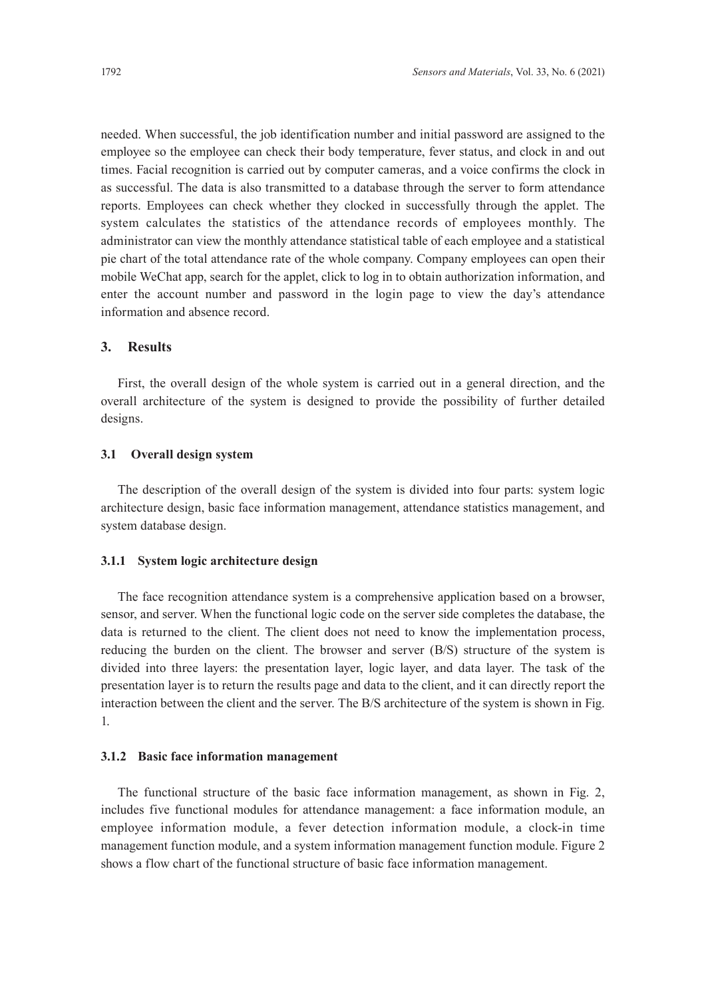needed. When successful, the job identification number and initial password are assigned to the employee so the employee can check their body temperature, fever status, and clock in and out times. Facial recognition is carried out by computer cameras, and a voice confirms the clock in as successful. The data is also transmitted to a database through the server to form attendance reports. Employees can check whether they clocked in successfully through the applet. The system calculates the statistics of the attendance records of employees monthly. The administrator can view the monthly attendance statistical table of each employee and a statistical pie chart of the total attendance rate of the whole company. Company employees can open their mobile WeChat app, search for the applet, click to log in to obtain authorization information, and enter the account number and password in the login page to view the day's attendance information and absence record.

# **3. Results**

First, the overall design of the whole system is carried out in a general direction, and the overall architecture of the system is designed to provide the possibility of further detailed designs.

# **3.1 Overall design system**

The description of the overall design of the system is divided into four parts: system logic architecture design, basic face information management, attendance statistics management, and system database design.

#### **3.1.1 System logic architecture design**

The face recognition attendance system is a comprehensive application based on a browser, sensor, and server. When the functional logic code on the server side completes the database, the data is returned to the client. The client does not need to know the implementation process, reducing the burden on the client. The browser and server (B/S) structure of the system is divided into three layers: the presentation layer, logic layer, and data layer. The task of the presentation layer is to return the results page and data to the client, and it can directly report the interaction between the client and the server. The B/S architecture of the system is shown in Fig. 1.

#### **3.1.2 Basic face information management**

The functional structure of the basic face information management, as shown in Fig. 2, includes five functional modules for attendance management: a face information module, an employee information module, a fever detection information module, a clock-in time management function module, and a system information management function module. Figure 2 shows a flow chart of the functional structure of basic face information management.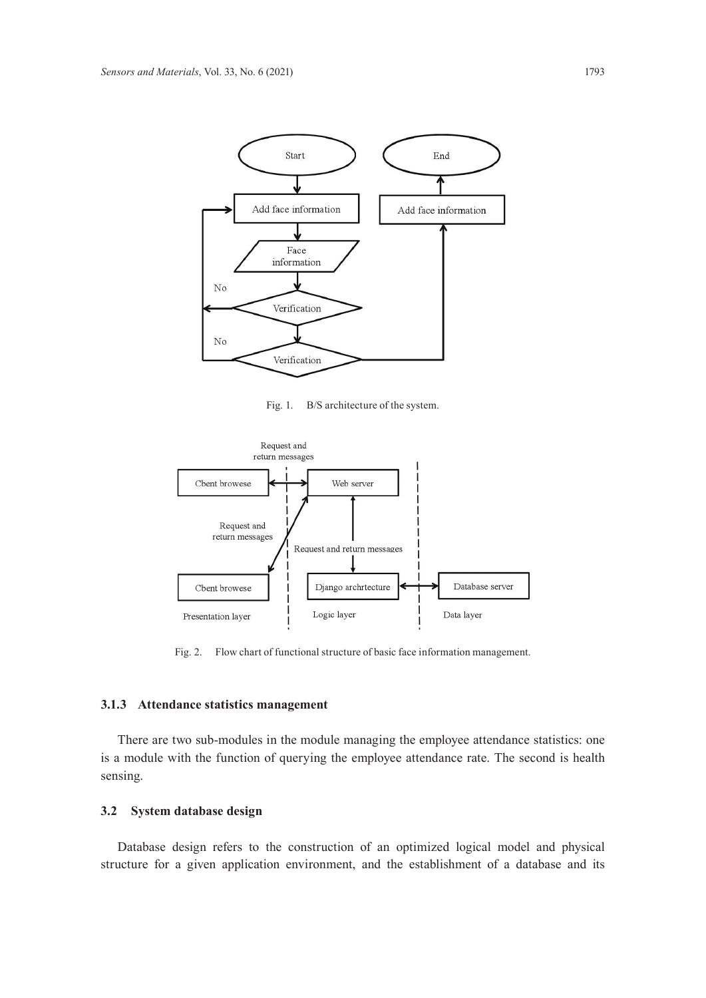

Fig. 1. B/S architecture of the system.



Fig. 2. Flow chart of functional structure of basic face information management.

#### **3.1.3 Attendance statistics management**

There are two sub-modules in the module managing the employee attendance statistics: one is a module with the function of querying the employee attendance rate. The second is health sensing.

# **3.2 System database design**

Database design refers to the construction of an optimized logical model and physical structure for a given application environment, and the establishment of a database and its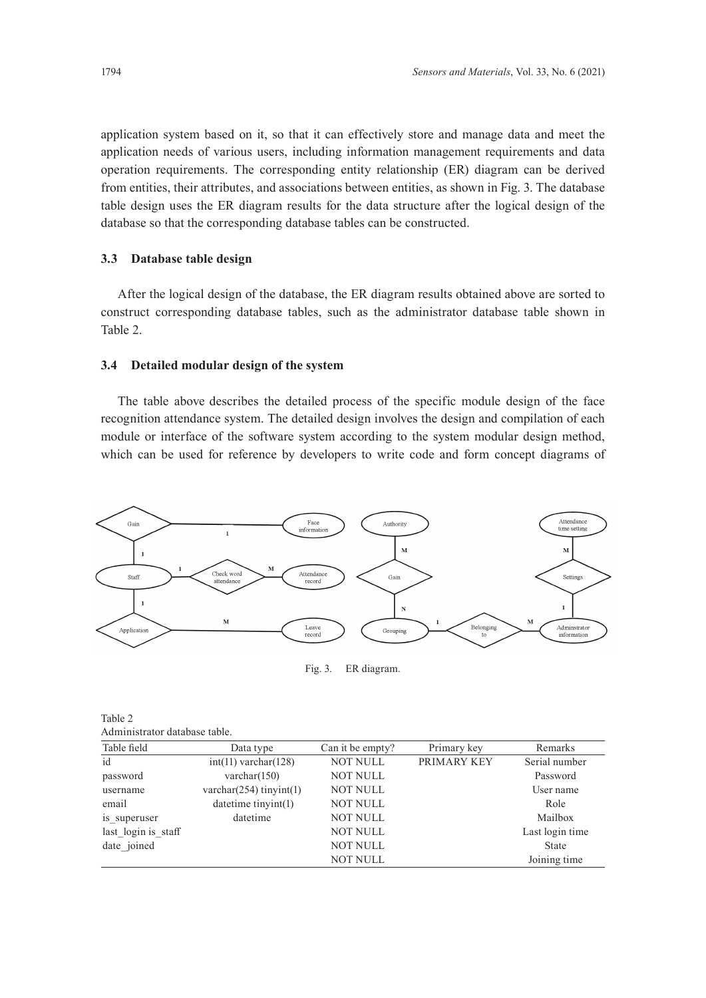application system based on it, so that it can effectively store and manage data and meet the application needs of various users, including information management requirements and data operation requirements. The corresponding entity relationship (ER) diagram can be derived from entities, their attributes, and associations between entities, as shown in Fig. 3. The database table design uses the ER diagram results for the data structure after the logical design of the database so that the corresponding database tables can be constructed.

# **3.3 Database table design**

After the logical design of the database, the ER diagram results obtained above are sorted to construct corresponding database tables, such as the administrator database table shown in Table 2.

#### **3.4 Detailed modular design of the system**

The table above describes the detailed process of the specific module design of the face recognition attendance system. The detailed design involves the design and compilation of each module or interface of the software system according to the system modular design method, which can be used for reference by developers to write code and form concept diagrams of



Fig. 3. ER diagram.

| Table 2                       |  |
|-------------------------------|--|
| Administrator database table. |  |

| Table field         | Data type                     | Can it be empty? | Primary key | Remarks         |
|---------------------|-------------------------------|------------------|-------------|-----------------|
| id                  | $int(11)$ varchar $(128)$     | <b>NOT NULL</b>  | PRIMARY KEY | Serial number   |
| password            | varchar $(150)$               | <b>NOT NULL</b>  |             | Password        |
| username            | varchar $(254)$ tinyint $(1)$ | <b>NOT NULL</b>  |             | User name       |
| email               | datetime tinyint(1)           | <b>NOT NULL</b>  |             | Role            |
| is superuser        | datetime                      | <b>NOT NULL</b>  |             | Mailbox         |
| last login is staff |                               | <b>NOT NULL</b>  |             | Last login time |
| date joined         |                               | <b>NOT NULL</b>  |             | <b>State</b>    |
|                     |                               | <b>NOT NULL</b>  |             | Joining time    |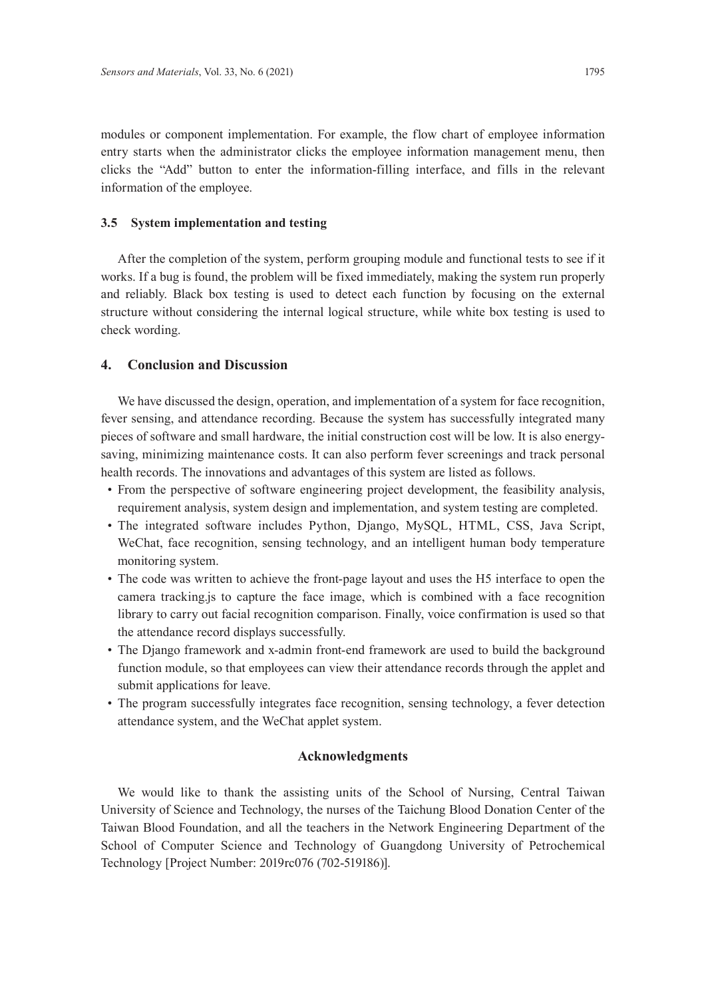modules or component implementation. For example, the flow chart of employee information entry starts when the administrator clicks the employee information management menu, then clicks the "Add" button to enter the information-filling interface, and fills in the relevant information of the employee.

#### **3.5 System implementation and testing**

After the completion of the system, perform grouping module and functional tests to see if it works. If a bug is found, the problem will be fixed immediately, making the system run properly and reliably. Black box testing is used to detect each function by focusing on the external structure without considering the internal logical structure, while white box testing is used to check wording.

#### **4. Conclusion and Discussion**

We have discussed the design, operation, and implementation of a system for face recognition, fever sensing, and attendance recording. Because the system has successfully integrated many pieces of software and small hardware, the initial construction cost will be low. It is also energysaving, minimizing maintenance costs. It can also perform fever screenings and track personal health records. The innovations and advantages of this system are listed as follows.

- From the perspective of software engineering project development, the feasibility analysis, requirement analysis, system design and implementation, and system testing are completed.
- The integrated software includes Python, Django, MySQL, HTML, CSS, Java Script, WeChat, face recognition, sensing technology, and an intelligent human body temperature monitoring system.
- The code was written to achieve the front-page layout and uses the H5 interface to open the camera tracking.js to capture the face image, which is combined with a face recognition library to carry out facial recognition comparison. Finally, voice confirmation is used so that the attendance record displays successfully.
- The Django framework and x-admin front-end framework are used to build the background function module, so that employees can view their attendance records through the applet and submit applications for leave.
- The program successfully integrates face recognition, sensing technology, a fever detection attendance system, and the WeChat applet system.

#### **Acknowledgments**

We would like to thank the assisting units of the School of Nursing, Central Taiwan University of Science and Technology, the nurses of the Taichung Blood Donation Center of the Taiwan Blood Foundation, and all the teachers in the Network Engineering Department of the School of Computer Science and Technology of Guangdong University of Petrochemical Technology [Project Number: 2019rc076 (702-519186)].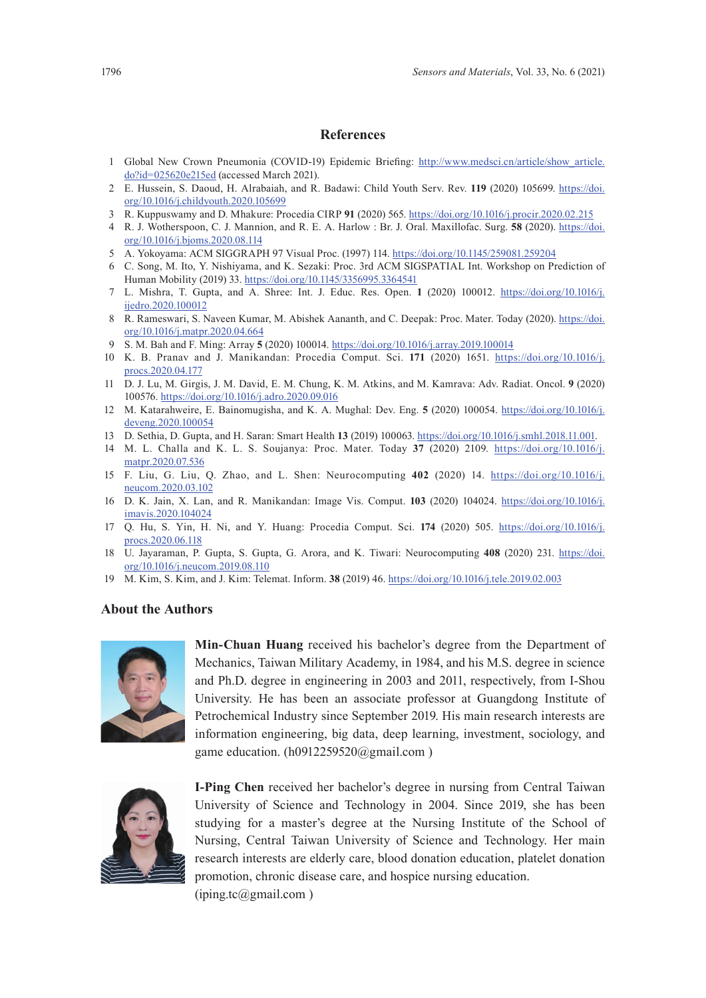# **References**

- 1 Global New Crown Pneumonia (COVID-19) Epidemic Briefing: [http://www.medsci.cn/article/show\\_article.](http://www.medsci.cn/article/show_article.do?id=025620e215ed) [do?id=025620e215ed](http://www.medsci.cn/article/show_article.do?id=025620e215ed) (accessed March 2021).
- 2 E. Hussein, S. Daoud, H. Alrabaiah, and R. Badawi: Child Youth Serv. Rev. **119** (2020) 105699. [https://doi.](https://doi.org/10.1016/j.childyouth.2020.105699) [org/10.1016/j.childyouth.2020.105699](https://doi.org/10.1016/j.childyouth.2020.105699)
- 3 R. Kuppuswamy and D. Mhakure: Procedia CIRP **91** (2020) 565. <https://doi.org/10.1016/j.procir.2020.02.215>
- 4 R. J. Wotherspoon, C. J. Mannion, and R. E. A. Harlow : Br. J. Oral. Maxillofac. Surg. **58** (2020). [https://doi.](https://doi.org/10.1016/j.bjoms.2020.08.114) [org/10.1016/j.bjoms.2020.08.114](https://doi.org/10.1016/j.bjoms.2020.08.114)
- 5 A. Yokoyama: ACM SIGGRAPH 97 Visual Proc. (1997) 114.<https://doi.org/10.1145/259081.259204>
- 6 C. Song, M. Ito, Y. Nishiyama, and K. Sezaki: Proc. 3rd ACM SIGSPATIAL Int. Workshop on Prediction of Human Mobility (2019) 33.<https://doi.org/10.1145/3356995.3364541>
- 7 L. Mishra, T. Gupta, and A. Shree: Int. J. Educ. Res. Open. **1** (2020) 100012. [https://doi.org/10.1016/j.](https://doi.org/10.1016/j.ijedro.2020.100012) [ijedro.2020.100012](https://doi.org/10.1016/j.ijedro.2020.100012)
- 8 R. Rameswari, S. Naveen Kumar, M. Abishek Aananth, and C. Deepak: Proc. Mater. Today (2020). [https://doi.](https://doi.org/10.1016/j.matpr.2020.04.664) [org/10.1016/j.matpr.2020.04.664](https://doi.org/10.1016/j.matpr.2020.04.664)
- 9 S. M. Bah and F. Ming: Array **5** (2020) 100014. <https://doi.org/10.1016/j.array.2019.100014>
- 10 K. B. Pranav and J. Manikandan: Procedia Comput. Sci. **171** (2020) 1651. [https://doi.org/10.1016/j.](https://doi.org/10.1016/j.procs.2020.04.177) [procs.2020.04.177](https://doi.org/10.1016/j.procs.2020.04.177)
- 11 D. J. Lu, M. Girgis, J. M. David, E. M. Chung, K. M. Atkins, and M. Kamrava: Adv. Radiat. Oncol. **9** (2020) 100576. <https://doi.org/10.1016/j.adro.2020.09.016>
- 12 M. Katarahweire, E. Bainomugisha, and K. A. Mughal: Dev. Eng. **5** (2020) 100054. [https://doi.org/10.1016/j.](https://doi.org/10.1016/j.deveng.2020.100054) [deveng.2020.100054](https://doi.org/10.1016/j.deveng.2020.100054)
- 13 D. Sethia, D. Gupta, and H. Saran: Smart Health **13** (2019) 100063. [https://doi.org/10.1016/j.smhl.2018.11.001.](https://doi.org/10.1016/j.smhl.2018.11.001)
- 14 M. L. Challa and K. L. S. Soujanya: Proc. Mater. Today **37** (2020) 2109. [https://doi.org/10.1016/j.](https://doi.org/10.1016/j.matpr.2020.07.536) [matpr.2020.07.536](https://doi.org/10.1016/j.matpr.2020.07.536)
- 15 F. Liu, G. Liu, Q. Zhao, and L. Shen: Neurocomputing **402** (2020) 14. [https://doi.org/10.1016/j.](https://doi.org/10.1016/j.neucom.2020.03.102) [neucom.2020.03.102](https://doi.org/10.1016/j.neucom.2020.03.102)
- 16 D. K. Jain, X. Lan, and R. Manikandan: Image Vis. Comput. **103** (2020) 104024. [https://doi.org/10.1016/j.](https://doi.org/10.1016/j.imavis.2020.104024) [imavis.2020.104024](https://doi.org/10.1016/j.imavis.2020.104024)
- 17 Q. Hu, S. Yin, H. Ni, and Y. Huang: Procedia Comput. Sci. **174** (2020) 505. [https://doi.org/10.1016/j.](https://doi.org/10.1016/j.procs.2020.06.118) [procs.2020.06.118](https://doi.org/10.1016/j.procs.2020.06.118)
- 18 U. Jayaraman, P. Gupta, S. Gupta, G. Arora, and K. Tiwari: Neurocomputing **408** (2020) 231. [https://doi.](https://doi.org/10.1016/j.neucom.2019.08.110) [org/10.1016/j.neucom.2019.08.110](https://doi.org/10.1016/j.neucom.2019.08.110)
- 19 M. Kim, S. Kim, and J. Kim: Telemat. Inform. **38** (2019) 46. <https://doi.org/10.1016/j.tele.2019.02.003>

# **About the Authors**



**Min-Chuan Huang** received his bachelor's degree from the Department of Mechanics, Taiwan Military Academy, in 1984, and his M.S. degree in science and Ph.D. degree in engineering in 2003 and 2011, respectively, from I-Shou University. He has been an associate professor at Guangdong Institute of Petrochemical Industry since September 2019. His main research interests are information engineering, big data, deep learning, investment, sociology, and game education. (h0912259520@gmail.com )



**I-Ping Chen** received her bachelor's degree in nursing from Central Taiwan University of Science and Technology in 2004. Since 2019, she has been studying for a master's degree at the Nursing Institute of the School of Nursing, Central Taiwan University of Science and Technology. Her main research interests are elderly care, blood donation education, platelet donation promotion, chronic disease care, and hospice nursing education. (iping.tc@gmail.com )